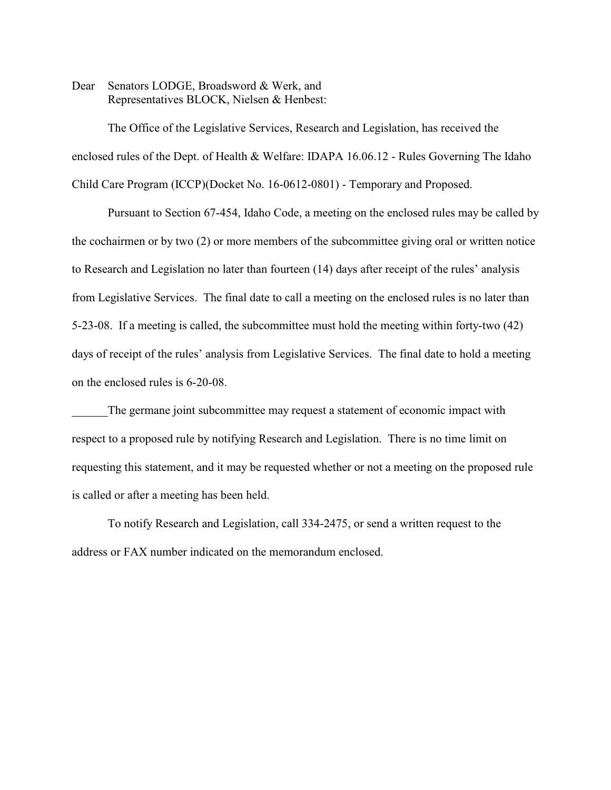Dear Senators LODGE, Broadsword & Werk, and Representatives BLOCK, Nielsen & Henbest:

The Office of the Legislative Services, Research and Legislation, has received the enclosed rules of the Dept. of Health & Welfare: IDAPA 16.06.12 - Rules Governing The Idaho Child Care Program (ICCP)(Docket No. 16-0612-0801) - Temporary and Proposed.

Pursuant to Section 67-454, Idaho Code, a meeting on the enclosed rules may be called by the cochairmen or by two (2) or more members of the subcommittee giving oral or written notice to Research and Legislation no later than fourteen (14) days after receipt of the rules' analysis from Legislative Services. The final date to call a meeting on the enclosed rules is no later than 5-23-08. If a meeting is called, the subcommittee must hold the meeting within forty-two (42) days of receipt of the rules' analysis from Legislative Services. The final date to hold a meeting on the enclosed rules is 6-20-08.

The germane joint subcommittee may request a statement of economic impact with respect to a proposed rule by notifying Research and Legislation. There is no time limit on requesting this statement, and it may be requested whether or not a meeting on the proposed rule is called or after a meeting has been held.

To notify Research and Legislation, call 334-2475, or send a written request to the address or FAX number indicated on the memorandum enclosed.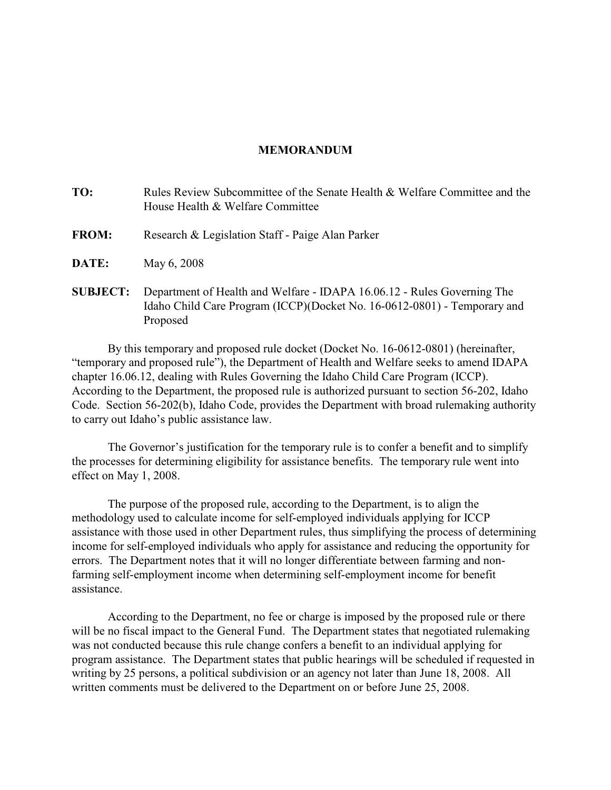## **MEMORANDUM**

| TO:             | Rules Review Subcommittee of the Senate Health & Welfare Committee and the<br>House Health & Welfare Committee                       |
|-----------------|--------------------------------------------------------------------------------------------------------------------------------------|
| <b>FROM:</b>    | Research & Legislation Staff - Paige Alan Parker                                                                                     |
| <b>DATE:</b>    | May 6, 2008                                                                                                                          |
| <b>SUBJECT:</b> | Department of Health and Welfare - IDAPA 16.06.12 - Rules Governing The<br>$T11$ $C1'11C$ n $(TCCD)/D$ $T1'1T$ $TC0'1T0'001$ $T$ $T$ |

Idaho Child Care Program (ICCP)(Docket No. 16-0612-0801) - Temporary and Proposed By this temporary and proposed rule docket (Docket No. 16-0612-0801) (hereinafter,

"temporary and proposed rule"), the Department of Health and Welfare seeks to amend IDAPA chapter 16.06.12, dealing with Rules Governing the Idaho Child Care Program (ICCP). According to the Department, the proposed rule is authorized pursuant to section 56-202, Idaho Code. Section 56-202(b), Idaho Code, provides the Department with broad rulemaking authority to carry out Idaho's public assistance law.

The Governor's justification for the temporary rule is to confer a benefit and to simplify the processes for determining eligibility for assistance benefits. The temporary rule went into effect on May 1, 2008.

The purpose of the proposed rule, according to the Department, is to align the methodology used to calculate income for self-employed individuals applying for ICCP assistance with those used in other Department rules, thus simplifying the process of determining income for self-employed individuals who apply for assistance and reducing the opportunity for errors. The Department notes that it will no longer differentiate between farming and nonfarming self-employment income when determining self-employment income for benefit assistance.

According to the Department, no fee or charge is imposed by the proposed rule or there will be no fiscal impact to the General Fund. The Department states that negotiated rulemaking was not conducted because this rule change confers a benefit to an individual applying for program assistance. The Department states that public hearings will be scheduled if requested in writing by 25 persons, a political subdivision or an agency not later than June 18, 2008. All written comments must be delivered to the Department on or before June 25, 2008.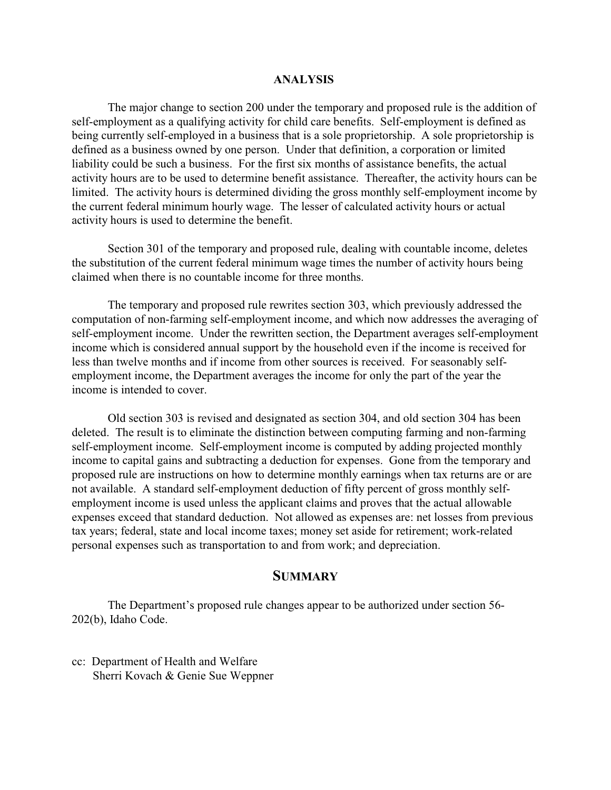#### **ANALYSIS**

The major change to section 200 under the temporary and proposed rule is the addition of self-employment as a qualifying activity for child care benefits. Self-employment is defined as being currently self-employed in a business that is a sole proprietorship. A sole proprietorship is defined as a business owned by one person. Under that definition, a corporation or limited liability could be such a business. For the first six months of assistance benefits, the actual activity hours are to be used to determine benefit assistance. Thereafter, the activity hours can be limited. The activity hours is determined dividing the gross monthly self-employment income by the current federal minimum hourly wage. The lesser of calculated activity hours or actual activity hours is used to determine the benefit.

Section 301 of the temporary and proposed rule, dealing with countable income, deletes the substitution of the current federal minimum wage times the number of activity hours being claimed when there is no countable income for three months.

The temporary and proposed rule rewrites section 303, which previously addressed the computation of non-farming self-employment income, and which now addresses the averaging of self-employment income. Under the rewritten section, the Department averages self-employment income which is considered annual support by the household even if the income is received for less than twelve months and if income from other sources is received. For seasonably selfemployment income, the Department averages the income for only the part of the year the income is intended to cover.

Old section 303 is revised and designated as section 304, and old section 304 has been deleted. The result is to eliminate the distinction between computing farming and non-farming self-employment income. Self-employment income is computed by adding projected monthly income to capital gains and subtracting a deduction for expenses. Gone from the temporary and proposed rule are instructions on how to determine monthly earnings when tax returns are or are not available. A standard self-employment deduction of fifty percent of gross monthly selfemployment income is used unless the applicant claims and proves that the actual allowable expenses exceed that standard deduction. Not allowed as expenses are: net losses from previous tax years; federal, state and local income taxes; money set aside for retirement; work-related personal expenses such as transportation to and from work; and depreciation.

# **SUMMARY**

The Department's proposed rule changes appear to be authorized under section 56- 202(b), Idaho Code.

cc: Department of Health and Welfare Sherri Kovach & Genie Sue Weppner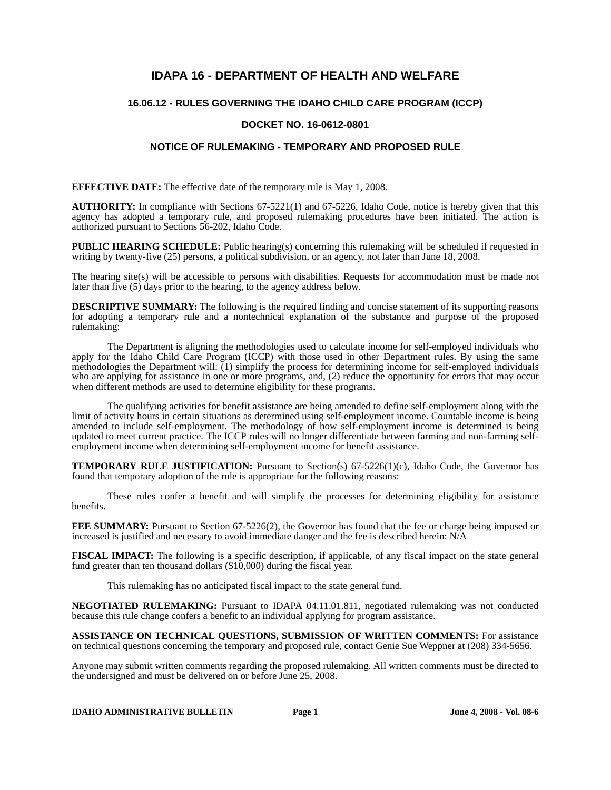# **IDAPA 16 - DEPARTMENT OF HEALTH AND WELFARE**

## **16.06.12 - RULES GOVERNING THE IDAHO CHILD CARE PROGRAM (ICCP)**

## **DOCKET NO. 16-0612-0801**

## **NOTICE OF RULEMAKING - TEMPORARY AND PROPOSED RULE**

**EFFECTIVE DATE:** The effective date of the temporary rule is May 1, 2008*.*

**AUTHORITY:** In compliance with Sections 67-5221(1) and 67-5226, Idaho Code, notice is hereby given that this agency has adopted a temporary rule, and proposed rulemaking procedures have been initiated. The action is authorized pursuant to Sections 56-202, Idaho Code.

**PUBLIC HEARING SCHEDULE:** Public hearing(s) concerning this rulemaking will be scheduled if requested in writing by twenty-five (25) persons, a political subdivision, or an agency, not later than June 18, 2008.

The hearing site(s) will be accessible to persons with disabilities. Requests for accommodation must be made not later than five (5) days prior to the hearing, to the agency address below.

**DESCRIPTIVE SUMMARY:** The following is the required finding and concise statement of its supporting reasons for adopting a temporary rule and a nontechnical explanation of the substance and purpose of the proposed rulemaking:

The Department is aligning the methodologies used to calculate income for self-employed individuals who apply for the Idaho Child Care Program (ICCP) with those used in other Department rules. By using the same methodologies the Department will: (1) simplify the process for determining income for self-employed individuals who are applying for assistance in one or more programs, and, (2) reduce the opportunity for errors that may occur when different methods are used to determine eligibility for these programs.

The qualifying activities for benefit assistance are being amended to define self-employment along with the limit of activity hours in certain situations as determined using self-employment income. Countable income is being amended to include self-employment. The methodology of how self-employment income is determined is being updated to meet current practice. The ICCP rules will no longer differentiate between farming and non-farming selfemployment income when determining self-employment income for benefit assistance.

**TEMPORARY RULE JUSTIFICATION:** Pursuant to Section(s) 67-5226(1)(c), Idaho Code, the Governor has found that temporary adoption of the rule is appropriate for the following reasons:

These rules confer a benefit and will simplify the processes for determining eligibility for assistance benefits.

**FEE SUMMARY:** Pursuant to Section 67-5226(2), the Governor has found that the fee or charge being imposed or increased is justified and necessary to avoid immediate danger and the fee is described herein: N/A

**FISCAL IMPACT:** The following is a specific description, if applicable, of any fiscal impact on the state general fund greater than ten thousand dollars (\$10,000) during the fiscal year.

This rulemaking has no anticipated fiscal impact to the state general fund.

**NEGOTIATED RULEMAKING:** Pursuant to IDAPA 04.11.01.811, negotiated rulemaking was not conducted because this rule change confers a benefit to an individual applying for program assistance.

**ASSISTANCE ON TECHNICAL QUESTIONS, SUBMISSION OF WRITTEN COMMENTS:** For assistance on technical questions concerning the temporary and proposed rule, contact Genie Sue Weppner at (208) 334-5656.

Anyone may submit written comments regarding the proposed rulemaking. All written comments must be directed to the undersigned and must be delivered on or before June 25, 2008.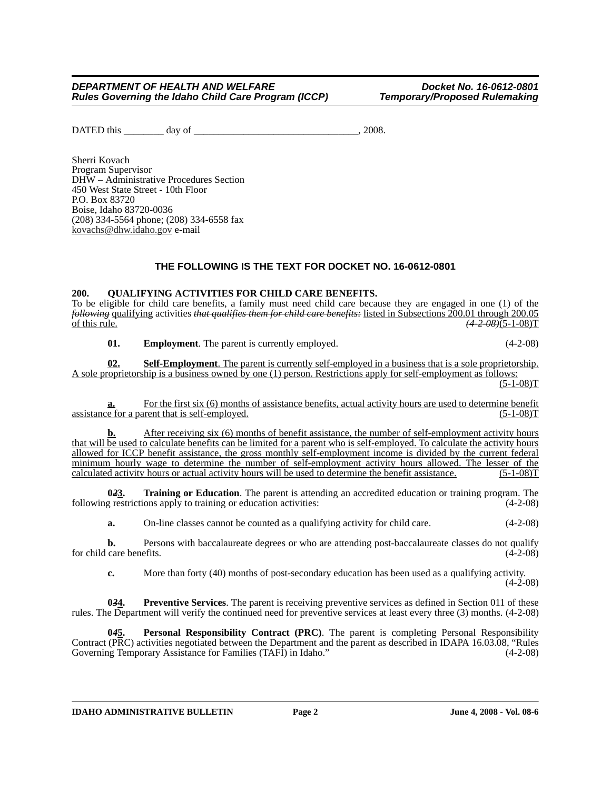#### *DEPARTMENT OF HEALTH AND WELFARE Docket No. 16-0612-0801 Rules Governing the Idaho Child Care Program (ICCP)*

DATED this \_\_\_\_\_\_\_\_ day of \_\_\_\_\_\_\_\_\_\_\_\_\_\_\_\_\_\_\_\_\_\_\_\_\_\_\_\_\_\_\_\_\_, 2008.

Sherri Kovach Program Supervisor DHW – Administrative Procedures Section 450 West State Street - 10th Floor P.O. Box 83720 Boise, Idaho 83720-0036 (208) 334-5564 phone; (208) 334-6558 fax kovachs@dhw.idaho.gov e-mail

## **THE FOLLOWING IS THE TEXT FOR DOCKET NO. 16-0612-0801**

#### **200. QUALIFYING ACTIVITIES FOR CHILD CARE BENEFITS.**

To be eligible for child care benefits, a family must need child care because they are engaged in one (1) of the *following* qualifying activities *that qualifies them for child care benefits:* listed in Subsections 200.01 through 200.05 of this rule. (4-2-08)(5-1-08)T  $\sqrt{(4-2-08)(5-1-08)}$ T

**01. Employment**. The parent is currently employed. (4-2-08)

**02. Self-Employment**. The parent is currently self-employed in a business that is a sole proprietorship. A sole proprietorship is a business owned by one (1) person. Restrictions apply for self-employment as follows:  $(5-1-08)T$ 

For the first six (6) months of assistance benefits, actual activity hours are used to determine benefit assistance for a parent that is self-employed. (5-1-08)T

**b.** After receiving six (6) months of benefit assistance, the number of self-employment activity hours that will be used to calculate benefits can be limited for a parent who is self-employed. To calculate the activity hours allowed for ICCP benefit assistance, the gross monthly self-employment income is divided by the current federal minimum hourly wage to determine the number of self-employment activity hours allowed. The lesser of the calculated activity hours or actual activity hours will be used to determine the benefit assistance. (5-1-08)T

**023. Training or Education**. The parent is attending an accredited education or training program. The generations apply to training or education activities: following restrictions apply to training or education activities:

**a.** On-line classes cannot be counted as a qualifying activity for child care.  $(4-2-08)$ 

**b.** Persons with baccalaureate degrees or who are attending post-baccalaureate classes do not qualify care benefits. (4-2-08) for child care benefits.

**c.** More than forty (40) months of post-secondary education has been used as a qualifying activity.

 $(4-2-08)$ 

**0***3***4. Preventive Services**. The parent is receiving preventive services as defined in Section 011 of these rules. The Department will verify the continued need for preventive services at least every three (3) months. (4-2-08)

**0***4***5. Personal Responsibility Contract (PRC)**. The parent is completing Personal Responsibility Contract (PRC) activities negotiated between the Department and the parent as described in IDAPA 16.03.08, "Rules Governing Temporary Assistance for Families (TAFI) in Idaho." (4-2-08) Governing Temporary Assistance for Families (TAFI) in Idaho."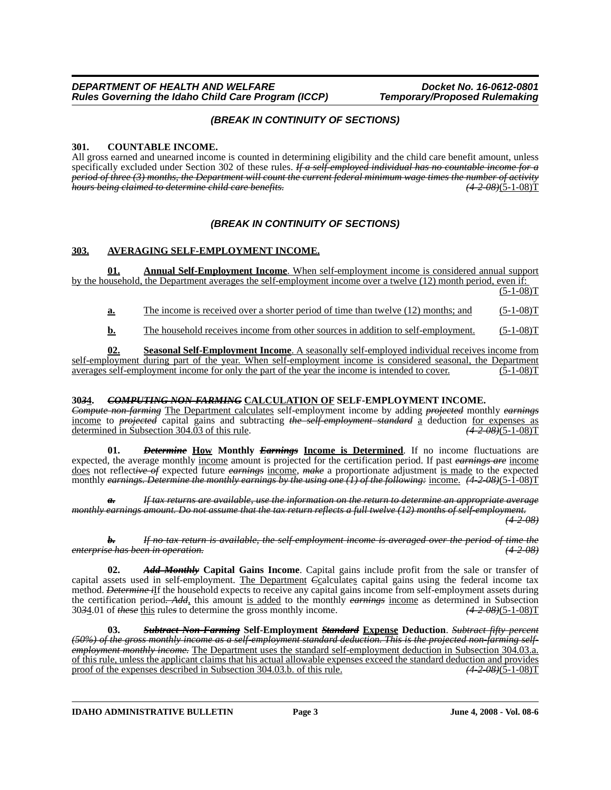## *(BREAK IN CONTINUITY OF SECTIONS)*

### **301. COUNTABLE INCOME.**

All gross earned and unearned income is counted in determining eligibility and the child care benefit amount, unless specifically excluded under Section 302 of these rules. *If a self-employed individual has no countable income for a period of three (3) months, the Department will count the current federal minimum wage times the number of activity hours being claimed to determine child care benefits.* 

### *(BREAK IN CONTINUITY OF SECTIONS)*

### **303. AVERAGING SELF-EMPLOYMENT INCOME.**

**01. Annual Self-Employment Income**. When self-employment income is considered annual support by the household, the Department averages the self-employment income over a twelve (12) month period, even if:

 $(5-1-08)T$ 

**a.** The income is received over a shorter period of time than twelve (12) months; and (5-1-08)T

**b.** The household receives income from other sources in addition to self-employment. (5-1-08)T

**02. Seasonal Self-Employment Income**. A seasonally self-employed individual receives income from self-employment during part of the year. When self-employment income is considered seasonal, the Department averages self-employment income for only the part of the year the income is intended to cover. (5-1-08)T

#### **30***3***4.** *COMPUTING NON-FARMING* **CALCULATION OF SELF-EMPLOYMENT INCOME.**

*Compute non-farming* The Department calculates self-employment income by adding *projected* monthly *earnings* income to *projected* capital gains and subtracting *the self-employment standard* a deduction <u>for expenses as</u> determined in Subsection 304.03 of this rule. (4-2-08) (4-2-08) (4-2-08) determined in Subsection 304.03 of this rule.

**01.** *Determine* **How Monthly** *Earnings* **Income is Determined**. If no income fluctuations are expected, the average monthly income amount is projected for the certification period. If past *earnings are* income does not reflect*ive of* expected future *earnings* income, *make* a proportionate adjustment is made to the expected monthly *earnings. Determine the monthly earnings by the using one (1) of the following:* income. *(4-2-08)*(5-1-08)T

*If tax returns are available, use the information on the return to determine an appropriate average monthly earnings amount. Do not assume that the tax return reflects a full twelve (12) months of self-employment.*

*(4-2-08)*

*b. If no tax return is available, the self-employment income is averaged over the period of time the enterprise has been in operation. (4-2-08)*

**02.** *Add Monthly* **Capital Gains Income**. Capital gains include profit from the sale or transfer of capital assets used in self-employment. The Department *C*calculates capital gains using the federal income tax method. *Determine i*If the household expects to receive any capital gains income from self-employment assets during the certification period*. Add*, this amount is added to the monthly *earnings* income as determined in Subsection 30*3*4.01 of *these* this rule*s* to determine the gross monthly income. *(4-2-08)*(5-1-08)T

**03.** *Subtract Non-Farming* **Self-Employment** *Standard* **Expense Deduction**. *Subtract fifty percent (50%) of the gross monthly income as a self-employment standard deduction. This is the projected non-farming selfemployment monthly income.* The Department uses the standard self-employment deduction in Subsection 304.03.a. of this rule, unless the applicant claims that his actual allowable expenses exceed the standard deduction and provides proof of the expenses described in Subsection 304.03.b. of this rule. (4-2-08)(5-1-08)T proof of the expenses described in Subsection 304.03.b. of this rule.